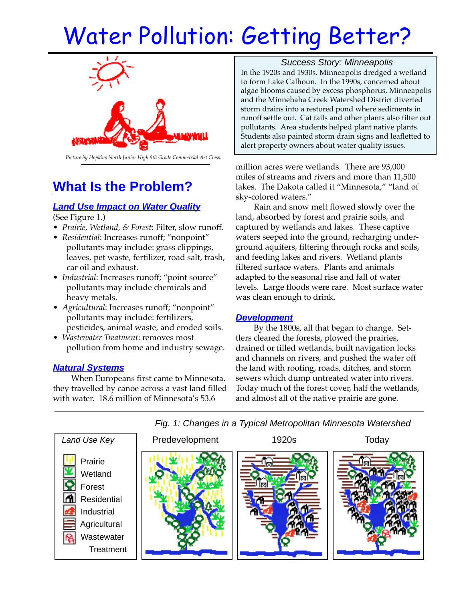# Water Pollution: Getting Better?



#### *Picture by Hopkins North Junior High 9th Grade Commercial Art Class.*

# **What Is the Problem?**

## **Land Use Impact on Water Quality**

(See Figure 1.)

- *Prairie, Wetland, & Forest*: Filter, slow runoff.
- *Residential*: Increases runoff; "nonpoint" pollutants may include: grass clippings, leaves, pet waste, fertilizer, road salt, trash, car oil and exhaust.
- *Industrial*: Increases runoff; "point source" pollutants may include chemicals and heavy metals.
- *Agricultural*: Increases runoff; "nonpoint" pollutants may include: fertilizers, pesticides, animal waste, and eroded soils.
- *Wastewater Treatment*: removes most pollution from home and industry sewage.

### **Natural Systems**

When Europeans first came to Minnesota, they travelled by canoe across a vast land filled with water. 18.6 million of Minnesota's 53.6

Success Story: Minneapolis In the 1920s and 1930s, Minneapolis dredged a wetland to form Lake Calhoun. In the 1990s, concerned about algae blooms caused by excess phosphorus, Minneapolis and the Minnehaha Creek Watershed District diverted storm drains into a restored pond where sediments in runoff settle out. Cat tails and other plants also filter out pollutants. Area students helped plant native plants. Students also painted storm drain signs and leafletted to alert property owners about water quality issues.

million acres were wetlands. There are 93,000 miles of streams and rivers and more than 11,500 lakes. The Dakota called it "Minnesota," "land of sky-colored waters."

Rain and snow melt flowed slowly over the land, absorbed by forest and prairie soils, and captured by wetlands and lakes. These captive waters seeped into the ground, recharging underground aquifers, filtering through rocks and soils, and feeding lakes and rivers. Wetland plants filtered surface waters. Plants and animals adapted to the seasonal rise and fall of water levels. Large floods were rare. Most surface water was clean enough to drink.

### **Development**

By the 1800s, all that began to change. Settlers cleared the forests, plowed the prairies, drained or filled wetlands, built navigation locks and channels on rivers, and pushed the water off the land with roofing, roads, ditches, and storm sewers which dump untreated water into rivers. Today much of the forest cover, half the wetlands, and almost all of the native prairie are gone.



Fig. 1: Changes in a Typical Metropolitan Minnesota Watershed